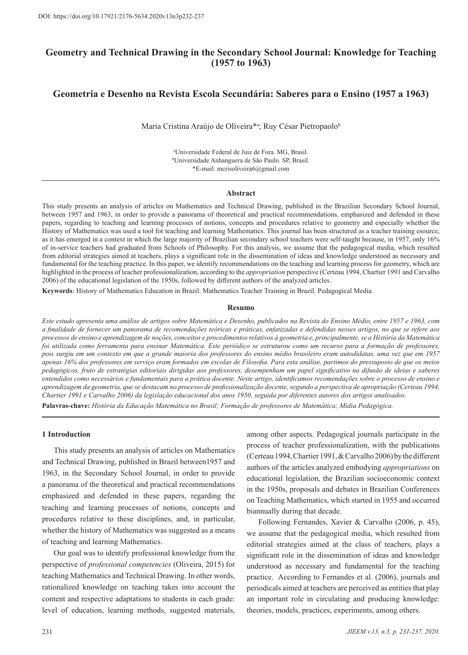# **Geometry and Technical Drawing in the Secondary School Journal: Knowledge for Teaching (1957 to 1963)**

# **Geometria e Desenho na Revista Escola Secundária: Saberes para o Ensino (1957 a 1963)**

Maria Cristina Araújo de Oliveira\*ª; Ruy César Pietropaolo<sup>b</sup>

a Universidade Federal de Juiz de Fora. MG, Brasil. b Universidade Anhanguera de São Paulo. SP, Brasil. \*E-mail: mcrisoliveira6@gmail.com

#### **Abstract**

This study presents an analysis of articles on Mathematics and Technical Drawing, published in the Brazilian Secondary School Journal, between 1957 and 1963, in order to provide a panorama of theoretical and practical recommendations, emphasized and defended in these papers, regarding to teaching and learning processes of notions, concepts and procedures relative to geometry and especially whether the History of Mathematics was used a tool for teaching and learning Mathematics. This journal has been structured as a teacher training esource, as it has emerged in a context in which the large majority of Brazilian secondary school teachers were self-taught because, in 1957, only 16% of in-service teachers had graduated from Schools of Philosophy. For this analysis, we assume that the pedagogical media, which resulted from editorial strategies aimed at teachers, plays a significant role in the dissemination of ideas and knowledge understood as necessary and fundamental for the teaching practice. In this paper, we identify recommendations on the teaching and learning process for geometry, which are highlighted in the process of teacher professionalization, according to the *appropriation* perspective (Certeau 1994, Chartier 1991 and Carvalho 2006) of the educational legislation of the 1950s, followed by different authors of the analyzed articles.

**Keywords**: History of Mathematics Education in Brazil. Mathematics Teacher Training in Brazil. Pedagogical Media.

### **Resumo**

*Este estudo apresenta uma análise de artigos sobre Matemática e Desenho, publicados na Revista do Ensino Médio, entre 1957 e 1963, com a finalidade de fornecer um panorama de recomendações teóricas e práticas, enfatizadas e defendidas nesses artigos, no que se refere aos processos de ensino e aprendizagem de noções, conceitos e procedimentos relativos à geometria e, principalmente, se a História da Matemática foi utilizada como ferramenta para ensinar Matemática. Este periódico se estruturou como um recurso para a formação de professores, pois surgiu em um contexto em que a grande maioria dos professores do ensino médio brasileiro eram autodidatas, uma vez que em 1957 apenas 16% dos professores em serviço eram formados em escolas de Filosofia. Para esta análise, partimos do pressuposto de que os meios pedagógicos, fruto de estratégias editoriais dirigidas aos professores, desempenham um papel significativo na difusão de ideias e saberes entendidos como necessários e fundamentais para a prática docente. Neste artigo, identificamos recomendações sobre o processo de ensino e aprendizagem da geometria, que se destacam no processo de profissionalização docente, segundo a perspectiva de apropriação (Certeau 1994, Chartier 1991 e Carvalho 2006) da legislação educacional dos anos 1950, seguida por diferentes autores dos artigos analisados.*

**Palavras-chave:** *História da Educação Matemática no Brasil; Formação de professores de Matemática; Mídia Pedagógica.*

### **1 Introduction**

This study presents an analysis of articles on Mathematics and Technical Drawing, published in Brazil between1957 and 1963, in the Secondary School Journal, in order to provide a panorama of the theoretical and practical recommendations emphasized and defended in these papers, regarding the teaching and learning processes of notions, concepts and procedures relative to these disciplines, and, in particular, whether the history of Mathematics was suggested as a means of teaching and learning Mathematics.

Our goal was to identify professional knowledge from the perspective of *professional competencies* (Oliveira, 2015) for teaching Mathematics and Technical Drawing. In other words, rationalized knowledge on teaching takes into account the content and respective adaptations to students in each grade: level of education, learning methods, suggested materials, among other aspects. Pedagogical journals participate in the process of teacher professionalization, with the publications (Certeau 1994, Chartier 1991, & Carvalho 2006) by the different authors of the articles analyzed embodying *appropriations* on educational legislation, the Brazilian socioeconomic context in the 1950s, proposals and debates in Brazilian Conferences on Teaching Mathematics, which started in 1955 and occurred biannually during that decade.

Following Fernandes, Xavier & Carvalho (2006, p. 45), we assume that the pedagogical media, which resulted from editorial strategies aimed at the class of teachers, plays a significant role in the dissemination of ideas and knowledge understood as necessary and fundamental for the teaching practice. According to Fernandes et al. (2006), journals and periodicals aimed at teachers are perceived as entities that play an important role in circulating and producing knowledge: theories, models, practices, experiments, among others.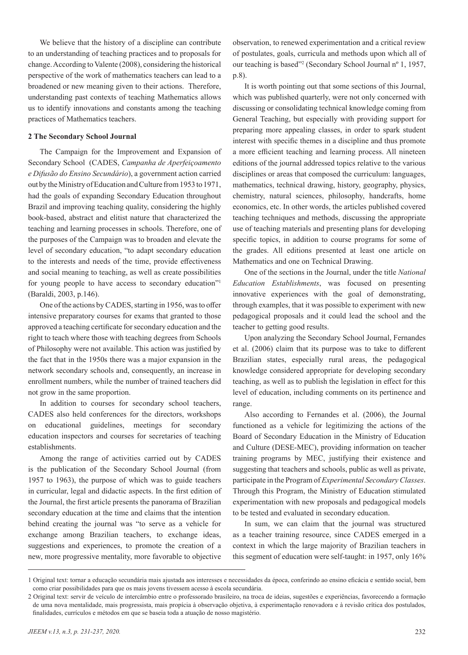We believe that the history of a discipline can contribute to an understanding of teaching practices and to proposals for change. According to Valente (2008), considering the historical perspective of the work of mathematics teachers can lead to a broadened or new meaning given to their actions. Therefore, understanding past contexts of teaching Mathematics allows us to identify innovations and constants among the teaching practices of Mathematics teachers.

## **2 The Secondary School Journal**

The Campaign for the Improvement and Expansion of Secondary School (CADES, *Campanha de Aperfeiçoamento e Difusão do Ensino Secundário*), a government action carried out by the Ministry of Education and Culture from 1953 to 1971, had the goals of expanding Secondary Education throughout Brazil and improving teaching quality, considering the highly book-based, abstract and elitist nature that characterized the teaching and learning processes in schools. Therefore, one of the purposes of the Campaign was to broaden and elevate the level of secondary education, "to adapt secondary education to the interests and needs of the time, provide effectiveness and social meaning to teaching, as well as create possibilities for young people to have access to secondary education"1 (Baraldi, 2003, p.146).

One of the actions by CADES, starting in 1956, was to offer intensive preparatory courses for exams that granted to those approved a teaching certificate for secondary education and the right to teach where those with teaching degrees from Schools of Philosophy were not available. This action was justified by the fact that in the 1950s there was a major expansion in the network secondary schools and, consequently, an increase in enrollment numbers, while the number of trained teachers did not grow in the same proportion.

In addition to courses for secondary school teachers, CADES also held conferences for the directors, workshops on educational guidelines, meetings for secondary education inspectors and courses for secretaries of teaching establishments.

Among the range of activities carried out by CADES is the publication of the Secondary School Journal (from 1957 to 1963), the purpose of which was to guide teachers in curricular, legal and didactic aspects. In the first edition of the Journal, the first article presents the panorama of Brazilian secondary education at the time and claims that the intention behind creating the journal was "to serve as a vehicle for exchange among Brazilian teachers, to exchange ideas, suggestions and experiences, to promote the creation of a new, more progressive mentality, more favorable to objective

observation, to renewed experimentation and a critical review of postulates, goals, curricula and methods upon which all of our teaching is based"2 (Secondary School Journal nº 1, 1957, p.8).

It is worth pointing out that some sections of this Journal, which was published quarterly, were not only concerned with discussing or consolidating technical knowledge coming from General Teaching, but especially with providing support for preparing more appealing classes, in order to spark student interest with specific themes in a discipline and thus promote a more efficient teaching and learning process. All nineteen editions of the journal addressed topics relative to the various disciplines or areas that composed the curriculum: languages, mathematics, technical drawing, history, geography, physics, chemistry, natural sciences, philosophy, handcrafts, home economics, etc. In other words, the articles published covered teaching techniques and methods, discussing the appropriate use of teaching materials and presenting plans for developing specific topics, in addition to course programs for some of the grades. All editions presented at least one article on Mathematics and one on Technical Drawing.

One of the sections in the Journal, under the title *National Education Establishments*, was focused on presenting innovative experiences with the goal of demonstrating, through examples, that it was possible to experiment with new pedagogical proposals and it could lead the school and the teacher to getting good results.

Upon analyzing the Secondary School Journal, Fernandes et al. (2006) claim that its purpose was to take to different Brazilian states, especially rural areas, the pedagogical knowledge considered appropriate for developing secondary teaching, as well as to publish the legislation in effect for this level of education, including comments on its pertinence and range.

Also according to Fernandes et al. (2006), the Journal functioned as a vehicle for legitimizing the actions of the Board of Secondary Education in the Ministry of Education and Culture (DESE-MEC), providing information on teacher training programs by MEC, justifying their existence and suggesting that teachers and schools, public as well as private, participate in the Program of *Experimental Secondary Classes*. Through this Program, the Ministry of Education stimulated experimentation with new proposals and pedagogical models to be tested and evaluated in secondary education.

In sum, we can claim that the journal was structured as a teacher training resource, since CADES emerged in a context in which the large majority of Brazilian teachers in this segment of education were self-taught: in 1957, only 16%

<sup>1</sup> Original text: tornar a educação secundária mais ajustada aos interesses e necessidades da época, conferindo ao ensino eficácia e sentido social, bem como criar possibilidades para que os mais jovens tivessem acesso à escola secundária.

<sup>2</sup> Original text: servir de veículo de intercâmbio entre o professorado brasileiro, na troca de ideias, sugestões e experiências, favorecendo a formação de uma nova mentalidade, mais progressista, mais propícia à observação objetiva, à experimentação renovadora e à revisão crítica dos postulados, finalidades, currículos e métodos em que se baseia toda a atuação de nosso magistério.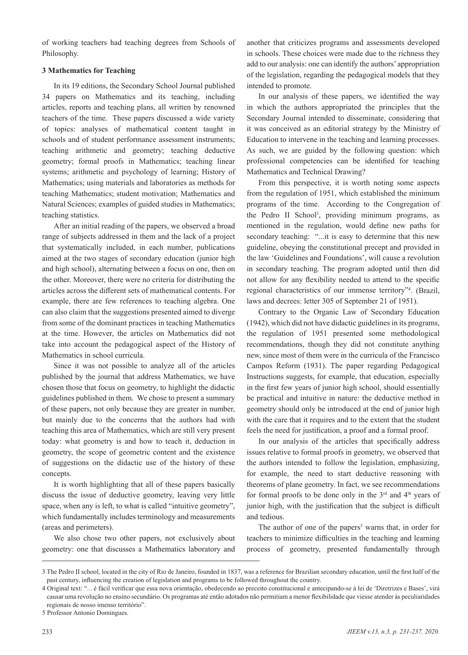of working teachers had teaching degrees from Schools of Philosophy.

## **3 Mathematics for Teaching**

In its 19 editions, the Secondary School Journal published 34 papers on Mathematics and its teaching, including articles, reports and teaching plans, all written by renowned teachers of the time. These papers discussed a wide variety of topics: analyses of mathematical content taught in schools and of student performance assessment instruments; teaching arithmetic and geometry; teaching deductive geometry; formal proofs in Mathematics; teaching linear systems; arithmetic and psychology of learning; History of Mathematics; using materials and laboratories as methods for teaching Mathematics; student motivation; Mathematics and Natural Sciences; examples of guided studies in Mathematics; teaching statistics.

After an initial reading of the papers, we observed a broad range of subjects addressed in them and the lack of a project that systematically included, in each number, publications aimed at the two stages of secondary education (junior high and high school), alternating between a focus on one, then on the other. Moreover, there were no criteria for distributing the articles across the different sets of mathematical contents. For example, there are few references to teaching algebra. One can also claim that the suggestions presented aimed to diverge from some of the dominant practices in teaching Mathematics at the time. However, the articles on Mathematics did not take into account the pedagogical aspect of the History of Mathematics in school curricula.

Since it was not possible to analyze all of the articles published by the journal that address Mathematics, we have chosen those that focus on geometry, to highlight the didactic guidelines published in them. We chose to present a summary of these papers, not only because they are greater in number, but mainly due to the concerns that the authors had with teaching this area of Mathematics, which are still very present today: what geometry is and how to teach it, deduction in geometry, the scope of geometric content and the existence of suggestions on the didactic use of the history of these concepts.

It is worth highlighting that all of these papers basically discuss the issue of deductive geometry, leaving very little space, when any is left, to what is called "intuitive geometry", which fundamentally includes terminology and measurements (areas and perimeters).

We also chose two other papers, not exclusively about geometry: one that discusses a Mathematics laboratory and

another that criticizes programs and assessments developed in schools. These choices were made due to the richness they add to our analysis: one can identify the authors' appropriation of the legislation, regarding the pedagogical models that they intended to promote.

In our analysis of these papers, we identified the way in which the authors appropriated the principles that the Secondary Journal intended to disseminate, considering that it was conceived as an editorial strategy by the Ministry of Education to intervene in the teaching and learning processes. As such, we are guided by the following question: which professional competencies can be identified for teaching Mathematics and Technical Drawing?

From this perspective, it is worth noting some aspects from the regulation of 1951, which established the minimum programs of the time. According to the Congregation of the Pedro II School3 , providing minimum programs, as mentioned in the regulation, would define new paths for secondary teaching: "...it is easy to determine that this new guideline, obeying the constitutional precept and provided in the law 'Guidelines and Foundations', will cause a revolution in secondary teaching. The program adopted until then did not allow for any flexibility needed to attend to the specific regional characteristics of our immense territory"4 . (Brazil, laws and decrees: letter 305 of September 21 of 1951).

Contrary to the Organic Law of Secondary Education (1942), which did not have didactic guidelines in its programs, the regulation of 1951 presented some methodological recommendations, though they did not constitute anything new, since most of them were in the curricula of the Francisco Campos Reform (1931). The paper regarding Pedagogical Instructions suggests, for example, that education, especially in the first few years of junior high school, should essentially be practical and intuitive in nature: the deductive method in geometry should only be introduced at the end of junior high with the care that it requires and to the extent that the student feels the need for justification, a proof and a formal proof.

In our analysis of the articles that specifically address issues relative to formal proofs in geometry, we observed that the authors intended to follow the legislation, emphasizing, for example, the need to start deductive reasoning with theorems of plane geometry. In fact, we see recommendations for formal proofs to be done only in the  $3<sup>rd</sup>$  and  $4<sup>th</sup>$  years of junior high, with the justification that the subject is difficult and tedious.

The author of one of the papers<sup>5</sup> warns that, in order for teachers to minimize difficulties in the teaching and learning process of geometry, presented fundamentally through

<sup>3</sup> The Pedro II school, located in the city of Rio de Janeiro, founded in 1837, was a reference for Brazilian secondary education, until the first half of the past century, influencing the creation of legislation and programs to be followed throughout the country.

<sup>4</sup> Original text: "... é fácil verificar que essa nova orientação, obedecendo ao preceito constitucional e antecipando-se à lei de 'Diretrizes e Bases', virá causar uma revolução no ensino secundário. Os programas até então adotados não permitiam a menor flexibilidade que viesse atender às peculiaridades regionais de nosso imenso território".

<sup>5</sup> Professor Antonio Domingues.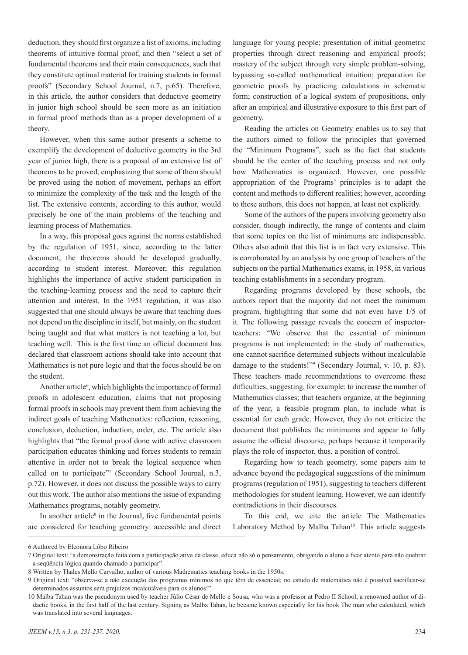deduction, they should first organize a list of axioms, including theorems of intuitive formal proof, and then "select a set of fundamental theorems and their main consequences, such that they constitute optimal material for training students in formal proofs" (Secondary School Journal, n.7, p.65). Therefore, in this article, the author considers that deductive geometry in junior high school should be seen more as an initiation in formal proof methods than as a proper development of a theory.

However, when this same author presents a scheme to exemplify the development of deductive geometry in the 3rd year of junior high, there is a proposal of an extensive list of theorems to be proved, emphasizing that some of them should be proved using the notion of movement, perhaps an effort to minimize the complexity of the task and the length of the list. The extensive contents, according to this author, would precisely be one of the main problems of the teaching and learning process of Mathematics.

In a way, this proposal goes against the norms established by the regulation of 1951, since, according to the latter document, the theorems should be developed gradually, according to student interest. Moreover, this regulation highlights the importance of active student participation in the teaching-learning process and the need to capture their attention and interest. In the 1951 regulation, it was also suggested that one should always be aware that teaching does not depend on the discipline in itself, but mainly, on the student being taught and that what matters is not teaching a lot, but teaching well. This is the first time an official document has declared that classroom actions should take into account that Mathematics is not pure logic and that the focus should be on the student.

Another article<sup>6</sup>, which highlights the importance of formal proofs in adolescent education, claims that not proposing formal proofs in schools may prevent them from achieving the indirect goals of teaching Mathematics: reflection, reasoning, conclusion, deduction, induction, order, etc. The article also highlights that "the formal proof done with active classroom participation educates thinking and forces students to remain attentive in order not to break the logical sequence when called on to participate"7 (Secondary School Journal, n.3, p.72). However, it does not discuss the possible ways to carry out this work. The author also mentions the issue of expanding Mathematics programs, notably geometry.

In another article<sup>8</sup> in the Journal, five fundamental points are considered for teaching geometry: accessible and direct

language for young people; presentation of initial geometric properties through direct reasoning and empirical proofs; mastery of the subject through very simple problem-solving, bypassing so-called mathematical intuition; preparation for geometric proofs by practicing calculations in schematic form; construction of a logical system of propositions, only after an empirical and illustrative exposure to this first part of geometry.

Reading the articles on Geometry enables us to say that the authors aimed to follow the principles that governed the "Minimum Programs", such as the fact that students should be the center of the teaching process and not only how Mathematics is organized. However, one possible appropriation of the Programs' principles is to adapt the content and methods to different realities; however, according to these authors, this does not happen, at least not explicitly.

Some of the authors of the papers involving geometry also consider, though indirectly, the range of contents and claim that some topics on the list of minimums are indispensable. Others also admit that this list is in fact very extensive. This is corroborated by an analysis by one group of teachers of the subjects on the partial Mathematics exams, in 1958, in various teaching establishments in a secondary program.

Regarding programs developed by these schools, the authors report that the majority did not meet the minimum program, highlighting that some did not even have 1/5 of it. The following passage reveals the concern of inspectorteachers: "We observe that the essential of minimum programs is not implemented: in the study of mathematics, one cannot sacrifice determined subjects without incalculable damage to the students!"9 (Secondary Journal, v. 10, p. 83). These teachers made recommendations to overcome these difficulties, suggesting, for example: to increase the number of Mathematics classes; that teachers organize, at the beginning of the year, a feasible program plan, to include what is essential for each grade. However, they do not criticize the document that publishes the minimums and appear to fully assume the official discourse, perhaps because it temporarily plays the role of inspector, thus, a position of control.

Regarding how to teach geometry, some papers aim to advance beyond the pedagogical suggestions of the minimum programs (regulation of 1951), suggesting to teachers different methodologies for student learning. However, we can identify contradictions in their discourses.

To this end, we cite the article The Mathematics Laboratory Method by Malba Tahan<sup>10</sup>. This article suggests

<sup>6</sup> Authored by Eleonora Lôbo Ribeiro

<sup>7</sup> Original text: "a demonstração feita com a participação ativa da classe, educa não só o pensamento, obrigando o aluno a ficar atento para não quebrar a seqüência lógica quando chamado a participar".

<sup>8</sup> Written by Thales Mello Carvalho, author of various Mathematics teaching books in the 1950s.

<sup>9</sup> Original text: "observa-se a não execução dos programas mínimos no que têm de essencial; no estudo de matemática não é possível sacrificar-se determinados assuntos sem prejuízos incalculáveis para os alunos!"

<sup>10</sup> Malba Tahan was the pseudonym used by teacher Júlio César de Mello e Sousa, who was a professor at Pedro II School, a renowned author of didactic books, in the first half of the last century. Signing as Malba Tahan, he became known especially for his book The man who calculated, which was translated into several languages.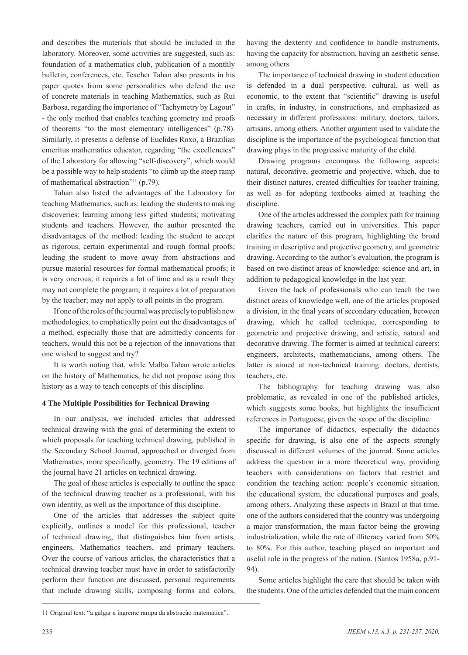and describes the materials that should be included in the laboratory. Moreover, some activities are suggested, such as: foundation of a mathematics club, publication of a monthly bulletin, conferences, etc. Teacher Tahan also presents in his paper quotes from some personalities who defend the use of concrete materials in teaching Mathematics, such as Rui Barbosa, regarding the importance of "Tachymetry by Lagout" - the only method that enables teaching geometry and proofs of theorems "to the most elementary intelligences" (p.78). Similarly, it presents a defense of Euclides Roxo, a Brazilian emeritus mathematics educator, regarding "the excellencies" of the Laboratory for allowing "self-discovery", which would be a possible way to help students "to climb up the steep ramp of mathematical abstraction"11 (p.79).

Tahan also listed the advantages of the Laboratory for teaching Mathematics, such as: leading the students to making discoveries; learning among less gifted students; motivating students and teachers. However, the author presented the disadvantages of the method: leading the student to accept as rigorous, certain experimental and rough formal proofs; leading the student to move away from abstractions and pursue material resources for formal mathematical proofs; it is very onerous; it requires a lot of time and as a result they may not complete the program; it requires a lot of preparation by the teacher; may not apply to all points in the program.

If one of the roles of the journal was precisely to publish new methodologies, to emphatically point out the disadvantages of a method, especially those that are admittedly concerns for teachers, would this not be a rejection of the innovations that one wished to suggest and try?

It is worth noting that, while Malba Tahan wrote articles on the history of Mathematics, he did not propose using this history as a way to teach concepts of this discipline.

## **4 The Multiple Possibilities for Technical Drawing**

In our analysis, we included articles that addressed technical drawing with the goal of determining the extent to which proposals for teaching technical drawing, published in the Secondary School Journal, approached or diverged from Mathematics, more specifically, geometry. The 19 editions of the journal have 21 articles on technical drawing.

The goal of these articles is especially to outline the space of the technical drawing teacher as a professional, with his own identity, as well as the importance of this discipline.

One of the articles that addresses the subject quite explicitly, outlines a model for this professional, teacher of technical drawing, that distinguishes him from artists, engineers, Mathematics teachers, and primary teachers. Over the course of various articles, the characteristics that a technical drawing teacher must have in order to satisfactorily perform their function are discussed, personal requirements that include drawing skills, composing forms and colors, having the dexterity and confidence to handle instruments, having the capacity for abstraction, having an aesthetic sense, among others.

The importance of technical drawing in student education is defended in a dual perspective, cultural, as well as economic, to the extent that "scientific" drawing is useful in crafts, in industry, in constructions, and emphasized as necessary in different professions: military, doctors, tailors, artisans, among others. Another argument used to validate the discipline is the importance of the psychological function that drawing plays in the progressive maturity of the child.

Drawing programs encompass the following aspects: natural, decorative, geometric and projective, which, due to their distinct natures, created difficulties for teacher training, as well as for adopting textbooks aimed at teaching the discipline.

One of the articles addressed the complex path for training drawing teachers, carried out in universities. This paper clarifies the nature of this program, highlighting the broad training in descriptive and projective geometry, and geometric drawing. According to the author's evaluation, the program is based on two distinct areas of knowledge: science and art, in addition to pedagogical knowledge in the last year.

Given the lack of professionals who can teach the two distinct areas of knowledge well, one of the articles proposed a division, in the final years of secondary education, between drawing, which he called technique, corresponding to geometric and projective drawing, and artistic, natural and decorative drawing. The former is aimed at technical careers: engineers, architects, mathematicians, among others. The latter is aimed at non-technical training: doctors, dentists, teachers, etc.

The bibliography for teaching drawing was also problematic, as revealed in one of the published articles, which suggests some books, but highlights the insufficient references in Portuguese, given the scope of the discipline.

The importance of didactics, especially the didactics specific for drawing, is also one of the aspects strongly discussed in different volumes of the journal. Some articles address the question in a more theoretical way, providing teachers with considerations on factors that restrict and condition the teaching action: people's economic situation, the educational system, the educational purposes and goals, among others. Analyzing these aspects in Brazil at that time, one of the authors considered that the country was undergoing a major transformation, the main factor being the growing industrialization, while the rate of illiteracy varied from 50% to 80%. For this author, teaching played an important and useful role in the progress of the nation. (Santos 1958a, p.91- 94).

Some articles highlight the care that should be taken with the students. One of the articles defended that the main concern

11 Original text: "a galgar a íngreme rampa da abstração matemática".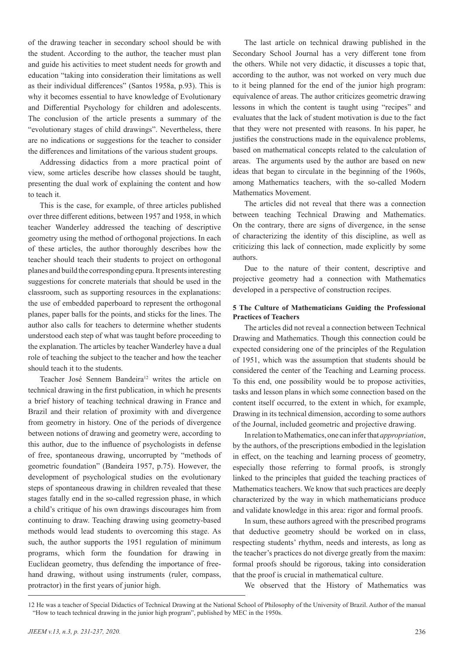of the drawing teacher in secondary school should be with the student. According to the author, the teacher must plan and guide his activities to meet student needs for growth and education "taking into consideration their limitations as well as their individual differences" (Santos 1958a, p.93). This is why it becomes essential to have knowledge of Evolutionary and Differential Psychology for children and adolescents. The conclusion of the article presents a summary of the "evolutionary stages of child drawings". Nevertheless, there are no indications or suggestions for the teacher to consider the differences and limitations of the various student groups.

Addressing didactics from a more practical point of view, some articles describe how classes should be taught, presenting the dual work of explaining the content and how to teach it.

This is the case, for example, of three articles published over three different editions, between 1957 and 1958, in which teacher Wanderley addressed the teaching of descriptive geometry using the method of orthogonal projections. In each of these articles, the author thoroughly describes how the teacher should teach their students to project on orthogonal planes and build the corresponding epura. It presents interesting suggestions for concrete materials that should be used in the classroom, such as supporting resources in the explanations: the use of embedded paperboard to represent the orthogonal planes, paper balls for the points, and sticks for the lines. The author also calls for teachers to determine whether students understood each step of what was taught before proceeding to the explanation. The articles by teacher Wanderley have a dual role of teaching the subject to the teacher and how the teacher should teach it to the students.

Teacher José Sennem Bandeira<sup>12</sup> writes the article on technical drawing in the first publication, in which he presents a brief history of teaching technical drawing in France and Brazil and their relation of proximity with and divergence from geometry in history. One of the periods of divergence between notions of drawing and geometry were, according to this author, due to the influence of psychologists in defense of free, spontaneous drawing, uncorrupted by "methods of geometric foundation" (Bandeira 1957, p.75). However, the development of psychological studies on the evolutionary steps of spontaneous drawing in children revealed that these stages fatally end in the so-called regression phase, in which a child's critique of his own drawings discourages him from continuing to draw. Teaching drawing using geometry-based methods would lead students to overcoming this stage. As such, the author supports the 1951 regulation of minimum programs, which form the foundation for drawing in Euclidean geometry, thus defending the importance of freehand drawing, without using instruments (ruler, compass, protractor) in the first years of junior high.

The last article on technical drawing published in the Secondary School Journal has a very different tone from the others. While not very didactic, it discusses a topic that, according to the author, was not worked on very much due to it being planned for the end of the junior high program: equivalence of areas. The author criticizes geometric drawing lessons in which the content is taught using "recipes" and evaluates that the lack of student motivation is due to the fact that they were not presented with reasons. In his paper, he justifies the constructions made in the equivalence problems, based on mathematical concepts related to the calculation of areas. The arguments used by the author are based on new ideas that began to circulate in the beginning of the 1960s, among Mathematics teachers, with the so-called Modern Mathematics Movement.

The articles did not reveal that there was a connection between teaching Technical Drawing and Mathematics. On the contrary, there are signs of divergence, in the sense of characterizing the identity of this discipline, as well as criticizing this lack of connection, made explicitly by some authors.

Due to the nature of their content, descriptive and projective geometry had a connection with Mathematics developed in a perspective of construction recipes.

# **5 The Culture of Mathematicians Guiding the Professional Practices of Teachers**

The articles did not reveal a connection between Technical Drawing and Mathematics. Though this connection could be expected considering one of the principles of the Regulation of 1951, which was the assumption that students should be considered the center of the Teaching and Learning process. To this end, one possibility would be to propose activities, tasks and lesson plans in which some connection based on the content itself occurred, to the extent in which, for example, Drawing in its technical dimension, according to some authors of the Journal, included geometric and projective drawing.

In relation to Mathematics, one can infer that *appropriation*, by the authors, of the prescriptions embodied in the legislation in effect, on the teaching and learning process of geometry, especially those referring to formal proofs, is strongly linked to the principles that guided the teaching practices of Mathematics teachers. We know that such practices are deeply characterized by the way in which mathematicians produce and validate knowledge in this area: rigor and formal proofs.

In sum, these authors agreed with the prescribed programs that deductive geometry should be worked on in class, respecting students' rhythm, needs and interests, as long as the teacher's practices do not diverge greatly from the maxim: formal proofs should be rigorous, taking into consideration that the proof is crucial in mathematical culture.

We observed that the History of Mathematics was

<sup>12</sup> He was a teacher of Special Didactics of Technical Drawing at the National School of Philosophy of the University of Brazil. Author of the manual "How to teach technical drawing in the junior high program", published by MEC in the 1950s.